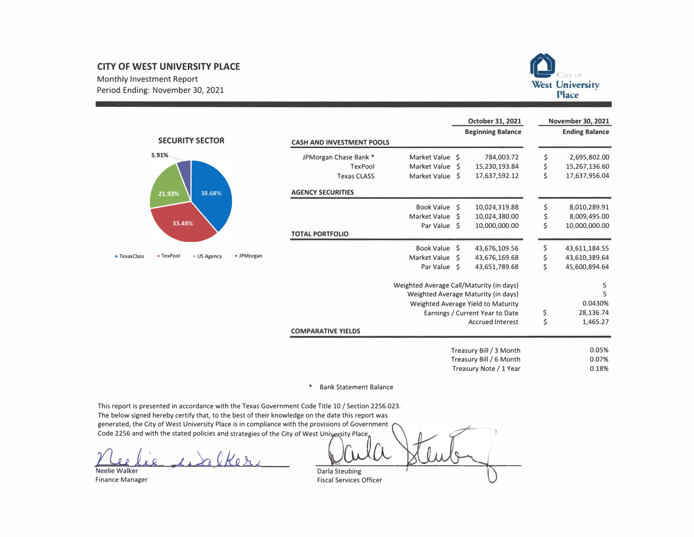# **CITY OF WEST UNIVERSITY PLACE**

Monthly Investment Report Period Ending: November 30, 2021



|                     |                               |            |                                  |                                          | <b>October 31, 2021</b>             |     | <b>November 30, 2021</b> |
|---------------------|-------------------------------|------------|----------------------------------|------------------------------------------|-------------------------------------|-----|--------------------------|
|                     | <b>SECURITY SECTOR</b>        |            |                                  |                                          | <b>Beginning Balance</b>            |     | <b>Ending Balance</b>    |
|                     |                               |            | <b>CASH AND INVESTMENT POOLS</b> |                                          |                                     |     |                          |
|                     | 5.91%                         |            | JPMorgan Chase Bank *            | Market Value \$                          | 784,003.72                          | \$. | 2,695,802.00             |
|                     |                               |            | <b>TexPool</b>                   | Market Value \$                          | 15,230,193.84                       | \$  | 15,267,136.60            |
|                     |                               |            | <b>Texas CLASS</b>               | Market Value \$                          | 17,637,592.12                       | \$  | 17,637,956.04            |
|                     | 38.68%<br>21.93%              |            | <b>AGENCY SECURITIES</b>         |                                          |                                     |     |                          |
|                     |                               |            |                                  | Book Value \$                            | 10,024,319.88                       | \$  | 8,010,289.91             |
|                     |                               |            |                                  | Market Value \$                          | 10,024,380.00                       | \$  | 8,009,495.00             |
|                     | 33.48%                        |            |                                  | Par Value \$                             | 10,000,000.00                       | \$  | 10,000,000.00            |
|                     |                               |            | <b>TOTAL PORTFOLIO</b>           |                                          |                                     |     |                          |
|                     |                               |            |                                  | Book Value \$                            | 43,676,109.56                       | \$  | 43,611,184.55            |
| <b>- TexasClass</b> | - TexPool<br><b>US Agency</b> | - JPMorgan |                                  | Market Value \$                          | 43,676,169.68                       | \$  | 43,610,389.64            |
|                     |                               |            |                                  | Par Value \$                             | 43,651,789.68                       | \$  | 45,600,894.64            |
|                     |                               |            |                                  | Weighted Average Call/Maturity (in days) |                                     |     | 5                        |
|                     |                               |            |                                  |                                          | Weighted Average Maturity (in days) |     | 5                        |
|                     |                               |            |                                  |                                          | Weighted Average Yield to Maturity  |     | 0.0430%                  |
|                     |                               |            |                                  |                                          | Earnings / Current Year to Date     | \$  | 28,136.74                |
|                     |                               |            |                                  |                                          | <b>Accrued Interest</b>             | \$  | 1,465.27                 |
|                     |                               |            | <b>COMPARATIVE YIELDS</b>        |                                          |                                     |     |                          |
|                     |                               |            |                                  |                                          | Treasury Bill / 3 Month             |     | 0.05%                    |
|                     |                               |            |                                  |                                          | Treasury Bill / 6 Month             |     | 0.07%                    |
|                     |                               |            |                                  |                                          | Treasury Note / 1 Year              |     | 0.18%                    |

#### $\ast$ **Bank Statement Balance**

This report is presented in accordance with the Texas Government Code Title 10 / Section 2256.023. The below signed hereby certify that, to the best of their knowledge on the date this report was generated, the City of West University Place is in compliance with the provisions of Government Code 2256 and with the stated policies and strategies of the City of West University Place,

 $\Omega$ 

Darla Steubing

Neelie Walker **Finance Manager** 

**Fiscal Services Officer**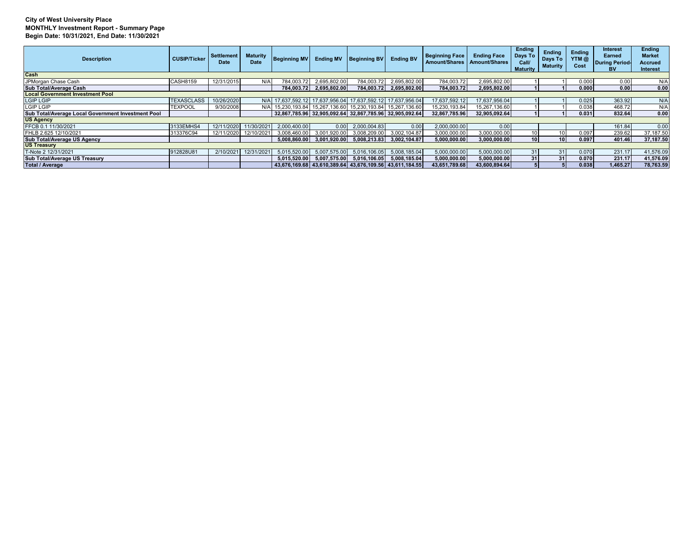### **City of West University Place MONTHLY Investment Report - Summary Page Begin Date: 10/31/2021, End Date: 11/30/2021**

| <b>Description</b>                                 | <b>CUSIP/Ticker</b> | Settlement<br>Date    | <b>Maturity</b><br>Date | <b>Beginning MV</b>                                         | <b>Ending MV</b> | <b>Beginning BV</b>       | <b>Ending BV</b> | <b>Beginning Face</b><br><b>Amount/Shares</b> | <b>Ending Face</b><br><b>Amount/Shares</b> | <b>Endina</b><br>Days To<br>Call<br><b>Maturity</b> | <b>Ending</b><br>Days To<br><b>Maturity</b> | <b>Ending</b><br>YTM@<br>Cost | <b>Interest</b><br>Earned<br>During Period<br><b>BV</b> | <b>Ending</b><br><b>Market</b><br>Accrued<br><b>Interest</b> |
|----------------------------------------------------|---------------------|-----------------------|-------------------------|-------------------------------------------------------------|------------------|---------------------------|------------------|-----------------------------------------------|--------------------------------------------|-----------------------------------------------------|---------------------------------------------|-------------------------------|---------------------------------------------------------|--------------------------------------------------------------|
| Cash                                               |                     |                       |                         |                                                             |                  |                           |                  |                                               |                                            |                                                     |                                             |                               |                                                         |                                                              |
| JPMorgan Chase Cash                                | <b>CASH8159</b>     | 12/31/2015            | N/A                     | 784.003.72                                                  | 2,695,802.00     | 784,003.72                | 2,695,802.00     | 784,003.72                                    | 2,695,802.00                               |                                                     |                                             | 0.000                         | 0.00                                                    | N/A                                                          |
| Sub Total/Average Cash                             |                     |                       |                         | 784.003.72                                                  | 2,695,802.00     | 784.003.72                | 2,695,802.00     | 784,003.72                                    | 2,695,802.00                               |                                                     |                                             | 0.000                         | 0.00                                                    | 0.00                                                         |
| <b>Local Government Investment Pool</b>            |                     |                       |                         |                                                             |                  |                           |                  |                                               |                                            |                                                     |                                             |                               |                                                         |                                                              |
| <b>LGIP LGIP</b>                                   | <b>TEXASCLASS</b>   | 10/26/2020            |                         | N/A 17,637,592.12 17,637,956.04 17,637,592.12 17,637,956.04 |                  |                           |                  | 17.637.592.12                                 | 17.637.956.04                              |                                                     |                                             | 0.025                         | 363.92                                                  | N/A                                                          |
| <b>LGIP LGIP</b>                                   | <b>TEXPOOL</b>      | 9/30/2008             |                         | N/A 15,230,193.84 15,267,136.60 15,230,193.84 15,267,136.60 |                  |                           |                  | 15,230,193.84                                 | 15,267,136.60                              |                                                     |                                             | 0.038                         | 468.72                                                  | N/A                                                          |
| Sub Total/Average Local Government Investment Pool |                     |                       |                         | 32,867,785.96 32,905,092.64 32,867,785.96 32,905,092.64     |                  |                           |                  | 32.867.785.96                                 | 32.905.092.64                              |                                                     |                                             | 0.031                         | 832.64                                                  | 0.00                                                         |
| <b>US Agency</b>                                   |                     |                       |                         |                                                             |                  |                           |                  |                                               |                                            |                                                     |                                             |                               |                                                         |                                                              |
| FFCB 0.1 11/30/2021                                | 3133EMHS4           | 12/11/2020 11/30/2021 |                         | 2.000.400.00                                                | 0.00             | 2.000.004.83              | 0.00             | 2.000.000.00                                  | 0.00                                       |                                                     |                                             |                               | 161.84                                                  | 0.00                                                         |
| FHLB 2.625 12/10/2021                              | 313376C94           | 12/11/2020            | 12/10/2021              | 3,008,460.00                                                | 3,001,920.00     | 3,008,209.00              | 3,002,104.87     | 3,000,000.00                                  | 3,000,000.00                               | 10 <sub>1</sub>                                     |                                             | 0.097                         | 239.62                                                  | 37,187.50                                                    |
| Sub Total/Average US Agency                        |                     |                       |                         | 5.008.860.00                                                | 3,001,920.00     | 5,008,213.83              | 3,002,104.87     | 5,000,000.00                                  | 3,000,000.00                               | 10 <sup>1</sup>                                     | 10 <sup>1</sup>                             | 0.097                         | 401.46                                                  | 37.187.50                                                    |
| <b>US Treasury</b>                                 |                     |                       |                         |                                                             |                  |                           |                  |                                               |                                            |                                                     |                                             |                               |                                                         |                                                              |
| T-Note 2 12/31/2021                                | 912828U81           | 2/10/2021             | 12/31/2021              | 5.015.520.00                                                | 5.007.575.00     | 5.016.106.05              | 5,008,185.04     | 5,000,000.00                                  | 5,000,000.00                               | 31                                                  | 31                                          | 0.070                         | 231.17                                                  | 41,576.09                                                    |
| Sub Total/Average US Treasury                      |                     |                       |                         | 5.015.520.00                                                |                  | 5,007,575.00 5,016,106.05 | 5,008,185.04     | 5,000,000.00                                  | 5,000,000.00                               | 31                                                  | 31                                          | 0.070                         | 231.17                                                  | 41,576.09                                                    |
| <b>Total / Average</b>                             |                     |                       |                         | 43,676,169.68 43,610,389.64 43,676,109.56 43,611,184.55     |                  |                           |                  | 43.651.789.68                                 | 43.600.894.64                              |                                                     |                                             | 0.038                         | 1.465.27                                                | 78,763.59                                                    |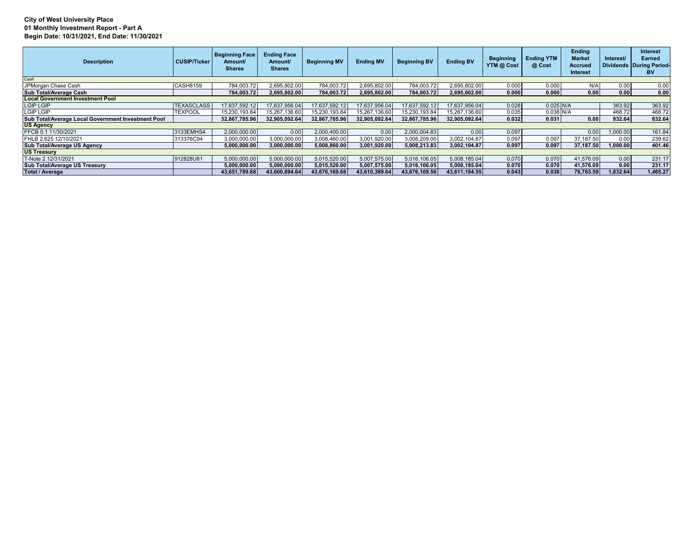# **City of West University Place 01 Monthly Investment Report - Part A Begin Date: 10/31/2021, End Date: 11/30/2021**

| <b>Description</b>                                 | CUSIP/Ticker      | <b>Beginning Face</b><br>Amount/<br><b>Shares</b> | <b>Ending Face</b><br>Amount/<br><b>Shares</b> | <b>Beginning MV</b> | <b>Ending MV</b> | <b>Beginning BV</b> | <b>Ending BV</b> | <b>Beginning</b><br>YTM @ Cost | <b>Ending YTM</b><br>@ Cost | Ending<br><b>Market</b><br><b>Accrued</b><br>Interest | Interest/ | Interest<br>Earned<br>Dividends During Period-<br><b>BV</b> |
|----------------------------------------------------|-------------------|---------------------------------------------------|------------------------------------------------|---------------------|------------------|---------------------|------------------|--------------------------------|-----------------------------|-------------------------------------------------------|-----------|-------------------------------------------------------------|
| Cash                                               |                   |                                                   |                                                |                     |                  |                     |                  |                                |                             |                                                       |           |                                                             |
| JPMorgan Chase Cash                                | CASH8159          | 784.003.72                                        | 2,695,802.00                                   | 784,003.72          | 2,695,802.00     | 784,003.72          | 2,695,802.00     | 0.000                          | 0.000                       | N/A                                                   | 0.00      | 0.00                                                        |
| Sub Total/Average Cash                             |                   | 784.003.72                                        | 2.695.802.00                                   | 784.003.72          | 2.695.802.00     | 784.003.72          | 2.695.802.00     | 0.000                          | 0.000                       | 0.00                                                  | 0.00      | 0.00                                                        |
| <b>Local Government Investment Pool</b>            |                   |                                                   |                                                |                     |                  |                     |                  |                                |                             |                                                       |           |                                                             |
| <b>LGIP LGIP</b>                                   | <b>TEXASCLASS</b> | 17,637,592.12                                     | 17,637,956.04                                  | 17,637,592.12       | 17,637,956.04    | 17.637.592.12       | 17,637,956.04    | 0.028                          | $0.025$ N/A                 |                                                       | 363.92    | 363.92                                                      |
| LGIP LGIP                                          | <b>TEXPOOL</b>    | 15,230,193.84                                     | 15,267,136.60                                  | 15,230,193.84       | 15,267,136.60    | 15.230.193.84       | 15,267,136.60    | 0.035                          | 0.038 N/A                   |                                                       | 468.72    | 468.72                                                      |
| Sub Total/Average Local Government Investment Pool |                   | 32,867,785.96                                     | 32.905.092.64                                  | 32,867,785.96       | 32,905,092.64    | 32.867.785.96       | 32.905.092.64    | 0.032                          | 0.031                       | 0.00                                                  | 832.64    | 832.64                                                      |
| <b>US Agency</b>                                   |                   |                                                   |                                                |                     |                  |                     |                  |                                |                             |                                                       |           |                                                             |
| FFCB 0.1 11/30/2021                                | 3133EMHS4         | 2.000.000.00                                      | 0.00                                           | 2,000,400.00        | 0.00             | 2,000,004.83        | 0.00             | 0.097                          |                             | 0.00                                                  | ,000.00   | 161.84                                                      |
| FHLB 2.625 12/10/2021                              | 313376C94         | 3,000,000.00                                      | 3,000,000.00                                   | 3,008,460.00        | 3,001,920.00     | 3,008,209.00        | 3,002,104.87     | 0.097                          | 0.097                       | 37,187.50                                             | 0.00      | 239.62                                                      |
| Sub Total/Average US Agency                        |                   | 5.000.000.00                                      | 3.000.000.00                                   | 5.008.860.00        | 3.001.920.00     | 5.008.213.83        | 3.002.104.87     | 0.097                          | 0.097                       | 37.187.50                                             | 1.000.00  | 401.46                                                      |
| <b>US Treasury</b>                                 |                   |                                                   |                                                |                     |                  |                     |                  |                                |                             |                                                       |           |                                                             |
| T-Note 2 12/31/2021                                | 912828U81         | 5.000.000.00                                      | 5,000,000.00                                   | 5,015,520.00        | 5,007,575.00     | 5.016.106.05        | 5.008.185.04     | 0.070                          | 0.070                       | 41,576.09                                             | 0.00      | 231.17                                                      |
| Sub Total/Average US Treasury                      |                   | 5.000.000.00                                      | 5.000.000.00                                   | 5.015.520.00        | 5.007.575.00     | 5.016.106.05        | 5.008.185.04     | 0.070                          | 0.070                       | 41.576.09                                             | 0.00      | 231.17                                                      |
| <b>Total / Average</b>                             |                   | 43.651.789.68                                     | 43.600.894.64                                  | 43.676.169.68       | 43,610,389.64    | 43.676.109.56       | 43.611.184.55    | 0.043                          | 0.038                       | 78.763.59                                             | 1.832.64  | 1,465.27                                                    |